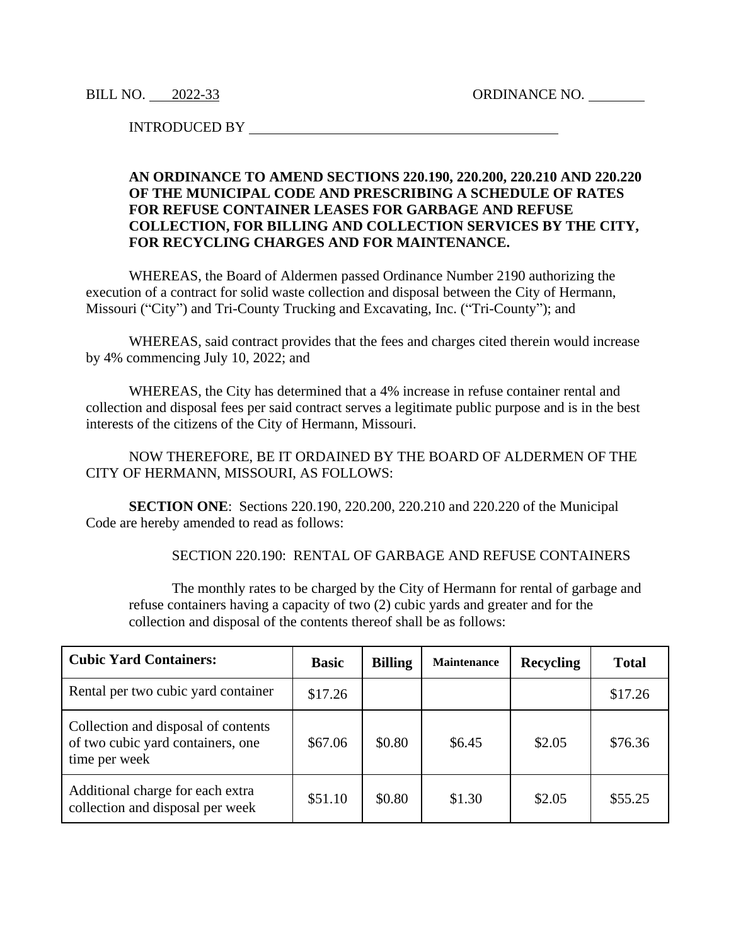BILL NO. 2022-33 ORDINANCE NO.

INTRODUCED BY

## **AN ORDINANCE TO AMEND SECTIONS 220.190, 220.200, 220.210 AND 220.220 OF THE MUNICIPAL CODE AND PRESCRIBING A SCHEDULE OF RATES FOR REFUSE CONTAINER LEASES FOR GARBAGE AND REFUSE COLLECTION, FOR BILLING AND COLLECTION SERVICES BY THE CITY, FOR RECYCLING CHARGES AND FOR MAINTENANCE.**

WHEREAS, the Board of Aldermen passed Ordinance Number 2190 authorizing the execution of a contract for solid waste collection and disposal between the City of Hermann, Missouri ("City") and Tri-County Trucking and Excavating, Inc. ("Tri-County"); and

WHEREAS, said contract provides that the fees and charges cited therein would increase by 4% commencing July 10, 2022; and

WHEREAS, the City has determined that a 4% increase in refuse container rental and collection and disposal fees per said contract serves a legitimate public purpose and is in the best interests of the citizens of the City of Hermann, Missouri.

NOW THEREFORE, BE IT ORDAINED BY THE BOARD OF ALDERMEN OF THE CITY OF HERMANN, MISSOURI, AS FOLLOWS:

**SECTION ONE**: Sections 220.190, 220.200, 220.210 and 220.220 of the Municipal Code are hereby amended to read as follows:

SECTION 220.190: RENTAL OF GARBAGE AND REFUSE CONTAINERS

The monthly rates to be charged by the City of Hermann for rental of garbage and refuse containers having a capacity of two (2) cubic yards and greater and for the collection and disposal of the contents thereof shall be as follows:

| <b>Cubic Yard Containers:</b>                                                             | <b>Basic</b> | <b>Billing</b> | <b>Maintenance</b> | <b>Recycling</b> | <b>Total</b> |
|-------------------------------------------------------------------------------------------|--------------|----------------|--------------------|------------------|--------------|
| Rental per two cubic yard container                                                       | \$17.26      |                |                    |                  | \$17.26      |
| Collection and disposal of contents<br>of two cubic yard containers, one<br>time per week | \$67.06      | \$0.80         | \$6.45             | \$2.05           | \$76.36      |
| Additional charge for each extra<br>collection and disposal per week                      | \$51.10      | \$0.80         | \$1.30             | \$2.05           | \$55.25      |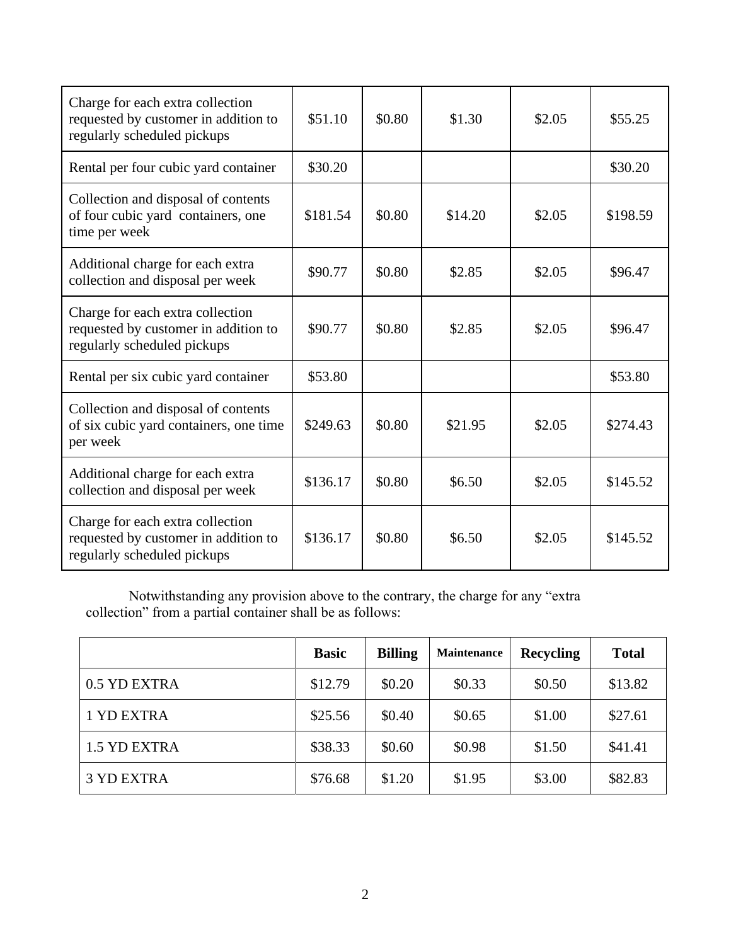| Charge for each extra collection<br>requested by customer in addition to<br>regularly scheduled pickups | \$51.10  | \$0.80 | \$1.30  | \$2.05 | \$55.25  |
|---------------------------------------------------------------------------------------------------------|----------|--------|---------|--------|----------|
| Rental per four cubic yard container                                                                    | \$30.20  |        |         |        | \$30.20  |
| Collection and disposal of contents<br>of four cubic yard containers, one<br>time per week              | \$181.54 | \$0.80 | \$14.20 | \$2.05 | \$198.59 |
| Additional charge for each extra<br>collection and disposal per week                                    | \$90.77  | \$0.80 | \$2.85  | \$2.05 | \$96.47  |
| Charge for each extra collection<br>requested by customer in addition to<br>regularly scheduled pickups | \$90.77  | \$0.80 | \$2.85  | \$2.05 | \$96.47  |
| Rental per six cubic yard container                                                                     | \$53.80  |        |         |        | \$53.80  |
| Collection and disposal of contents<br>of six cubic yard containers, one time<br>per week               | \$249.63 | \$0.80 | \$21.95 | \$2.05 | \$274.43 |
| Additional charge for each extra<br>collection and disposal per week                                    | \$136.17 | \$0.80 | \$6.50  | \$2.05 | \$145.52 |
| Charge for each extra collection<br>requested by customer in addition to<br>regularly scheduled pickups | \$136.17 | \$0.80 | \$6.50  | \$2.05 | \$145.52 |

Notwithstanding any provision above to the contrary, the charge for any "extra collection" from a partial container shall be as follows:

|                   | <b>Basic</b> | <b>Billing</b> | Maintenance | <b>Recycling</b> | <b>Total</b> |
|-------------------|--------------|----------------|-------------|------------------|--------------|
| 0.5 YD EXTRA      | \$12.79      | \$0.20         | \$0.33      | \$0.50           | \$13.82      |
| 1 YD EXTRA        | \$25.56      | \$0.40         | \$0.65      | \$1.00           | \$27.61      |
| 1.5 YD EXTRA      | \$38.33      | \$0.60         | \$0.98      | \$1.50           | \$41.41      |
| <b>3 YD EXTRA</b> | \$76.68      | \$1.20         | \$1.95      | \$3.00           | \$82.83      |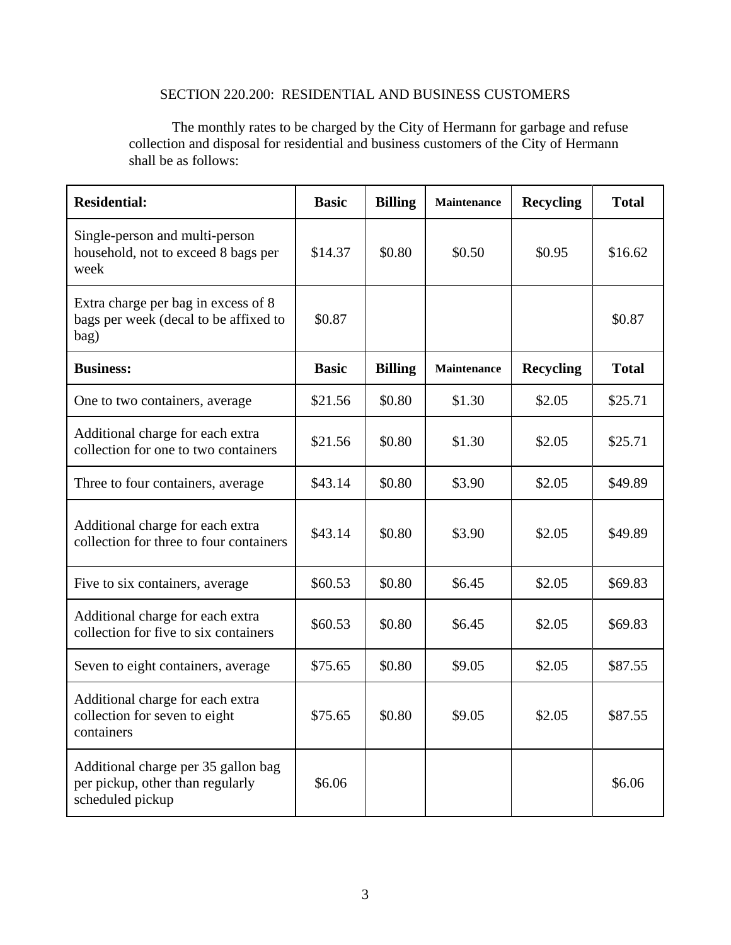## SECTION 220.200: RESIDENTIAL AND BUSINESS CUSTOMERS

The monthly rates to be charged by the City of Hermann for garbage and refuse collection and disposal for residential and business customers of the City of Hermann shall be as follows:

| <b>Residential:</b>                                                                         | <b>Basic</b> | <b>Billing</b><br><b>Maintenance</b> |                    | <b>Recycling</b> | <b>Total</b> |
|---------------------------------------------------------------------------------------------|--------------|--------------------------------------|--------------------|------------------|--------------|
| Single-person and multi-person<br>household, not to exceed 8 bags per<br>week               | \$14.37      | \$0.80                               | \$0.50             | \$0.95           | \$16.62      |
| Extra charge per bag in excess of 8<br>bags per week (decal to be affixed to<br>bag)        | \$0.87       |                                      |                    |                  | \$0.87       |
| <b>Business:</b>                                                                            | <b>Basic</b> | <b>Billing</b>                       | <b>Maintenance</b> | <b>Recycling</b> | <b>Total</b> |
| One to two containers, average                                                              | \$21.56      | \$0.80                               | \$1.30             | \$2.05           | \$25.71      |
| Additional charge for each extra<br>collection for one to two containers                    | \$21.56      | \$0.80                               | \$1.30             | \$2.05           | \$25.71      |
| Three to four containers, average                                                           | \$43.14      | \$0.80                               | \$3.90             | \$2.05           | \$49.89      |
| Additional charge for each extra<br>collection for three to four containers                 | \$43.14      | \$0.80                               | \$3.90             | \$2.05           | \$49.89      |
| Five to six containers, average                                                             | \$60.53      | \$0.80                               | \$6.45             | \$2.05           | \$69.83      |
| Additional charge for each extra<br>collection for five to six containers                   | \$60.53      | \$0.80                               | \$6.45             | \$2.05           | \$69.83      |
| Seven to eight containers, average                                                          | \$75.65      | \$0.80                               | \$9.05             | \$2.05           | \$87.55      |
| Additional charge for each extra<br>collection for seven to eight<br>containers             | \$75.65      | \$0.80                               | \$9.05             | \$2.05           | \$87.55      |
| Additional charge per 35 gallon bag<br>per pickup, other than regularly<br>scheduled pickup | \$6.06       |                                      |                    |                  | \$6.06       |